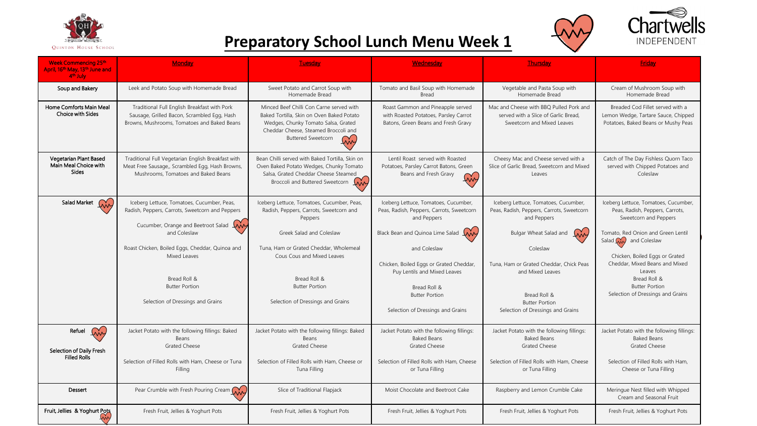





## **Preparatory School Lunch Menu Week 1**

| <b>Week Commencing 25th</b><br>April, 16th May, 13th June and<br>4 <sup>th</sup> July | Monday                                                                                                                                                                                                                                                                                                      | Tuesday                                                                                                                                                                                                                                                                            | Wednesday                                                                                                                                                                                                                                                                | <b>Thursday</b>                                                                                                                                                                                                                                       | Friday                                                                                                                                                                                                                                                                                                                                           |
|---------------------------------------------------------------------------------------|-------------------------------------------------------------------------------------------------------------------------------------------------------------------------------------------------------------------------------------------------------------------------------------------------------------|------------------------------------------------------------------------------------------------------------------------------------------------------------------------------------------------------------------------------------------------------------------------------------|--------------------------------------------------------------------------------------------------------------------------------------------------------------------------------------------------------------------------------------------------------------------------|-------------------------------------------------------------------------------------------------------------------------------------------------------------------------------------------------------------------------------------------------------|--------------------------------------------------------------------------------------------------------------------------------------------------------------------------------------------------------------------------------------------------------------------------------------------------------------------------------------------------|
| Soup and Bakery                                                                       | Leek and Potato Soup with Homemade Bread                                                                                                                                                                                                                                                                    | Sweet Potato and Carrot Soup with<br>Homemade Bread                                                                                                                                                                                                                                | Tomato and Basil Soup with Homemade<br><b>Bread</b>                                                                                                                                                                                                                      | Vegetable and Pasta Soup with<br>Homemade Bread                                                                                                                                                                                                       | Cream of Mushroom Soup with<br>Homemade Bread                                                                                                                                                                                                                                                                                                    |
| Home Comforts Main Meal<br><b>Choice with Sides</b>                                   | Traditional Full English Breakfast with Pork<br>Sausage, Grilled Bacon, Scrambled Egg, Hash<br>Browns, Mushrooms, Tomatoes and Baked Beans                                                                                                                                                                  | Minced Beef Chilli Con Carne served with<br>Baked Tortilla. Skin on Oven Baked Potato<br>Wedges, Chunky Tomato Salsa, Grated<br>Cheddar Cheese, Steamed Broccoli and<br><b>Buttered Sweetcorn</b>                                                                                  | Roast Gammon and Pineapple served<br>with Roasted Potatoes, Parsley Carrot<br>Batons, Green Beans and Fresh Gravy                                                                                                                                                        | Mac and Cheese with BBQ Pulled Pork and<br>served with a Slice of Garlic Bread.<br>Sweetcorn and Mixed Leaves                                                                                                                                         | Breaded Cod Fillet served with a<br>Lemon Wedge, Tartare Sauce, Chipped<br>Potatoes, Baked Beans or Mushy Peas                                                                                                                                                                                                                                   |
| Vegetarian Plant Based<br>Main Meal Choice with<br>Sides                              | Traditional Full Vegetarian English Breakfast with<br>Meat Free Sausage,, Scrambled Egg, Hash Browns,<br>Mushrooms. Tomatoes and Baked Beans                                                                                                                                                                | Bean Chilli served with Baked Tortilla, Skin on<br>Oven Baked Potato Wedges, Chunky Tomato<br>Salsa, Grated Cheddar Cheese Steamed<br>Broccoli and Buttered Sweetcorn My                                                                                                           | Lentil Roast served with Roasted<br>Potatoes, Parsley Carrot Batons, Green<br>Beans and Fresh Gravy                                                                                                                                                                      | Cheesy Mac and Cheese served with a<br>Slice of Garlic Bread, Sweetcorn and Mixed<br>Leaves                                                                                                                                                           | Catch of The Day Fishless Quorn Taco<br>served with Chipped Potatoes and<br>Coleslaw                                                                                                                                                                                                                                                             |
| Salad Market (WV)                                                                     | Iceberg Lettuce, Tomatoes, Cucumber, Peas,<br>Radish, Peppers, Carrots, Sweetcorn and Peppers<br>Cucumber, Orange and Beetroot Salad<br>In<br>and Coleslaw<br>Roast Chicken, Boiled Eggs, Cheddar, Quinoa and<br>Mixed Leaves<br>Bread Roll &<br><b>Butter Portion</b><br>Selection of Dressings and Grains | Iceberg Lettuce, Tomatoes, Cucumber, Peas,<br>Radish, Peppers, Carrots, Sweetcorn and<br>Peppers<br>Greek Salad and Coleslaw<br>Tuna, Ham or Grated Cheddar, Wholemeal<br>Cous Cous and Mixed Leaves<br>Bread Roll &<br><b>Butter Portion</b><br>Selection of Dressings and Grains | Iceberg Lettuce, Tomatoes, Cucumber,<br>Peas, Radish, Peppers, Carrots, Sweetcorn<br>and Peppers<br>Black Bean and Quinoa Lime Salad<br>and Coleslaw<br>Chicken, Boiled Eggs or Grated Cheddar,<br>Puy Lentils and Mixed Leaves<br>Bread Roll &<br><b>Butter Portion</b> | Iceberg Lettuce, Tomatoes, Cucumber,<br>Peas, Radish, Peppers, Carrots, Sweetcorn<br>and Peppers<br>Bulgar Wheat Salad and<br>Inn<br>Coleslaw<br>Tuna, Ham or Grated Cheddar, Chick Peas<br>and Mixed Leaves<br>Bread Roll &<br><b>Butter Portion</b> | Iceberg Lettuce, Tomatoes, Cucumber,<br>Peas, Radish, Peppers, Carrots,<br>Sweetcorn and Peppers<br>Tomato, Red Onion and Green Lentil<br>Salad $\overline{\mathsf{W}}$ and Coleslaw<br>Chicken, Boiled Eggs or Grated<br>Cheddar, Mixed Beans and Mixed<br>Leaves<br>Bread Roll &<br><b>Butter Portion</b><br>Selection of Dressings and Grains |
| Ing<br>Refuel<br>Selection of Daily Fresh<br><b>Filled Rolls</b>                      | Jacket Potato with the following fillings: Baked<br>Beans<br><b>Grated Cheese</b><br>Selection of Filled Rolls with Ham, Cheese or Tuna<br>Filling                                                                                                                                                          | Jacket Potato with the following fillings: Baked<br>Beans<br><b>Grated Cheese</b><br>Selection of Filled Rolls with Ham, Cheese or<br>Tuna Filling                                                                                                                                 | Selection of Dressings and Grains<br>Jacket Potato with the following fillings:<br><b>Baked Beans</b><br><b>Grated Cheese</b><br>Selection of Filled Rolls with Ham, Cheese<br>or Tuna Filling                                                                           | Selection of Dressings and Grains<br>Jacket Potato with the following fillings:<br><b>Baked Beans</b><br><b>Grated Cheese</b><br>Selection of Filled Rolls with Ham, Cheese<br>or Tuna Filling                                                        | Jacket Potato with the following fillings:<br><b>Baked Beans</b><br><b>Grated Cheese</b><br>Selection of Filled Rolls with Ham,<br>Cheese or Tuna Filling                                                                                                                                                                                        |
| Dessert                                                                               | Pear Crumble with Fresh Pouring Cream MM                                                                                                                                                                                                                                                                    | Slice of Traditional Flapjack                                                                                                                                                                                                                                                      | Moist Chocolate and Beetroot Cake                                                                                                                                                                                                                                        | Raspberry and Lemon Crumble Cake                                                                                                                                                                                                                      | Meringue Nest filled with Whipped<br>Cream and Seasonal Fruit                                                                                                                                                                                                                                                                                    |
| Fruit, Jellies & Yoghurt Pots                                                         | Fresh Fruit, Jellies & Yoghurt Pots                                                                                                                                                                                                                                                                         | Fresh Fruit, Jellies & Yoghurt Pots                                                                                                                                                                                                                                                | Fresh Fruit, Jellies & Yoghurt Pots                                                                                                                                                                                                                                      | Fresh Fruit, Jellies & Yoghurt Pots                                                                                                                                                                                                                   | Fresh Fruit, Jellies & Yoghurt Pots                                                                                                                                                                                                                                                                                                              |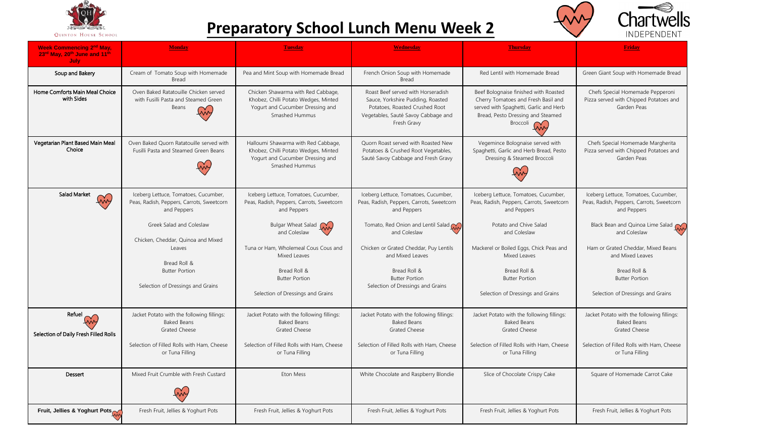

## **Preparatory School Lunch Menu Week 2**



| <b>Week Commencing 2nd May,</b><br>23rd May, 20th June and 11th<br>July | <b>Monday</b>                                                                                                                                             | <b>Tuesday</b>                                                                                                                                                           | <b>Wednesday</b>                                                                                                                                                                                                        | <b>Thursday</b>                                                                                                                                                                 | <b>Friday</b>                                                                                                                                                                            |
|-------------------------------------------------------------------------|-----------------------------------------------------------------------------------------------------------------------------------------------------------|--------------------------------------------------------------------------------------------------------------------------------------------------------------------------|-------------------------------------------------------------------------------------------------------------------------------------------------------------------------------------------------------------------------|---------------------------------------------------------------------------------------------------------------------------------------------------------------------------------|------------------------------------------------------------------------------------------------------------------------------------------------------------------------------------------|
| Soup and Bakery                                                         | Cream of Tomato Soup with Homemade<br>Bread                                                                                                               | Pea and Mint Soup with Homemade Bread                                                                                                                                    | French Onion Soup with Homemade<br><b>Bread</b>                                                                                                                                                                         | Red Lentil with Homemade Bread                                                                                                                                                  | Green Giant Soup with Homemade Bread                                                                                                                                                     |
| Home Comforts Main Meal Choice<br>with Sides                            | Oven Baked Ratatouille Chicken served<br>with Fusilli Pasta and Steamed Green<br>Beans                                                                    | Chicken Shawarma with Red Cabbage,<br>Khobez, Chilli Potato Wedges, Minted<br>Yogurt and Cucumber Dressing and<br>Smashed Hummus                                         | Roast Beef served with Horseradish<br>Sauce, Yorkshire Pudding, Roasted<br>Potatoes, Roasted Crushed Root<br>Vegetables, Sauté Savoy Cabbage and<br>Fresh Gravy                                                         | Beef Bolognaise finished with Roasted<br>Cherry Tomatoes and Fresh Basil and<br>served with Spaghetti, Garlic and Herb<br>Bread, Pesto Dressing and Steamed<br>Broccoli         | Chefs Special Homemade Pepperoni<br>Pizza served with Chipped Potatoes and<br>Garden Peas                                                                                                |
| Vegetarian Plant Based Main Meal<br>Choice                              | Oven Baked Ouorn Ratatouille served with<br>Fusilli Pasta and Steamed Green Beans                                                                         | Halloumi Shawarma with Red Cabbage,<br>Khobez, Chilli Potato Wedges, Minted<br>Yogurt and Cucumber Dressing and<br>Smashed Hummus                                        | Ouorn Roast served with Roasted New<br>Potatoes & Crushed Root Vegetables,<br>Sauté Savoy Cabbage and Fresh Gravy                                                                                                       | Vegemince Bolognaise served with<br>Spaghetti, Garlic and Herb Bread, Pesto<br>Dressing & Steamed Broccoli                                                                      | Chefs Special Homemade Margherita<br>Pizza served with Chipped Potatoes and<br>Garden Peas                                                                                               |
| <b>Salad Market</b><br><u>EM</u>                                        | Iceberg Lettuce, Tomatoes, Cucumber,<br>Peas, Radish, Peppers, Carrots, Sweetcorn<br>and Peppers                                                          | Iceberg Lettuce, Tomatoes, Cucumber,<br>Peas, Radish, Peppers, Carrots, Sweetcorn<br>and Peppers                                                                         | Iceberg Lettuce, Tomatoes, Cucumber,<br>Peas, Radish, Peppers, Carrots, Sweetcorn<br>and Peppers                                                                                                                        | Iceberg Lettuce, Tomatoes, Cucumber,<br>Peas, Radish, Peppers, Carrots, Sweetcorn<br>and Peppers                                                                                | Iceberg Lettuce, Tomatoes, Cucumber,<br>Peas, Radish, Peppers, Carrots, Sweetcorn<br>and Peppers                                                                                         |
|                                                                         | Greek Salad and Coleslaw<br>Chicken, Cheddar, Quinoa and Mixed<br>Leaves<br>Bread Roll &<br><b>Butter Portion</b><br>Selection of Dressings and Grains    | Bulgar Wheat Salad<br>and Coleslaw<br>Tuna or Ham, Wholemeal Cous Cous and<br>Mixed Leaves<br>Bread Roll &<br><b>Butter Portion</b><br>Selection of Dressings and Grains | Tomato, Red Onion and Lentil Salad $\mathcal{O}_\mathbf{A}$<br>and Coleslaw<br>Chicken or Grated Cheddar, Puy Lentils<br>and Mixed Leaves<br>Bread Roll &<br><b>Butter Portion</b><br>Selection of Dressings and Grains | Potato and Chive Salad<br>and Coleslaw<br>Mackerel or Boiled Eggs, Chick Peas and<br>Mixed Leaves<br>Bread Roll &<br><b>Butter Portion</b><br>Selection of Dressings and Grains | Black Bean and Quinoa Lime Salad<br>and Coleslaw<br>Ham or Grated Cheddar, Mixed Beans<br>and Mixed Leaves<br>Bread Roll &<br><b>Butter Portion</b><br>Selection of Dressings and Grains |
| Refuel<br><u> My</u><br>Selection of Daily Fresh Filled Rolls           | Jacket Potato with the following fillings:<br><b>Baked Beans</b><br><b>Grated Cheese</b><br>Selection of Filled Rolls with Ham, Cheese<br>or Tuna Filling | Jacket Potato with the following fillings:<br><b>Baked Beans</b><br><b>Grated Cheese</b><br>Selection of Filled Rolls with Ham, Cheese<br>or Tuna Filling                | Jacket Potato with the following fillings:<br><b>Baked Beans</b><br><b>Grated Cheese</b><br>Selection of Filled Rolls with Ham, Cheese<br>or Tuna Filling                                                               | Jacket Potato with the following fillings:<br><b>Baked Beans</b><br><b>Grated Cheese</b><br>Selection of Filled Rolls with Ham, Cheese<br>or Tuna Filling                       | Jacket Potato with the following fillings:<br><b>Baked Beans</b><br><b>Grated Cheese</b><br>Selection of Filled Rolls with Ham, Cheese<br>or Tuna Filling                                |
| Dessert                                                                 | Mixed Fruit Crumble with Fresh Custard                                                                                                                    | Eton Mess                                                                                                                                                                | White Chocolate and Raspberry Blondie                                                                                                                                                                                   | Slice of Chocolate Crispy Cake                                                                                                                                                  | Square of Homemade Carrot Cake                                                                                                                                                           |
| Fruit, Jellies & Yoghurt Pots                                           | Fresh Fruit, Jellies & Yoghurt Pots                                                                                                                       | Fresh Fruit, Jellies & Yoghurt Pots                                                                                                                                      | Fresh Fruit, Jellies & Yoghurt Pots                                                                                                                                                                                     | Fresh Fruit, Jellies & Yoghurt Pots                                                                                                                                             | Fresh Fruit, Jellies & Yoghurt Pots                                                                                                                                                      |